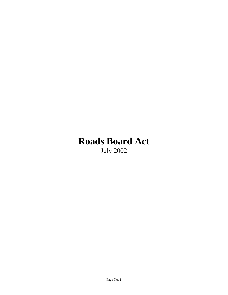# **Roads Board Act**  July 2002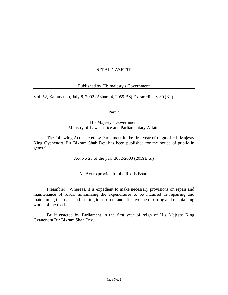# NEPAL GAZETTE

## Published by His majesty's Government

Vol. 52, Kathmandu, July 8, 2002 (Ashar 24, 2059 BS) Extraordinary 30 (Ka)

Part 2

#### His Majesty's Government Ministry of Law, Justice and Parliamentary Affairs

The following Act enacted by Parliament in the first year of reign of His Majesty King Gyanendra Bir Bikram Shah Dev has been published for the notice of public in general.

Act No 25 of the year 2002/2003 (2059B.S.)

## An Act to provide for the Roads Board

Preamble: Whereas, it is expedient to make necessary provisions on repair and maintenance of roads, minimizing the expenditures to be incurred in repairing and maintaining the roads and making transparent and effective the repairing and maintaining works of the roads.

Be it enacted by Parliament in the first year of reign of His Majesty King Gyanendra Bir Bikram Shah Dev.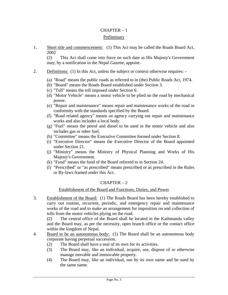## CHAPTER – 1

#### Preliminary

1. Short title and commencement: (1) This Act may be called the Roads Board Act, 2002

(2) This Act shall come into force on such date as His Majesty's Government may, by a notification in the Nepal Gazette, appoint.

- 2. Definitions: (1) In this Act, unless the subject or context otherwise requires: -
	- (a) "Road" means the public roads as referred to in (the) Public Roads Act, 1974.
	- (b) "Board" means the Roads Board established under Section 3.
	- (c) "Toll" means the toll imposed under Section 6.
	- (d) "Motor Vehicle" means a motor vehicle to be plied on the road by mechanical power.
	- (e) "Repair and maintenance" means repair and maintenance works of the road in conformity with the standards specified by the Board.
	- (f) "Road related agency" means an agency carrying out repair and maintenance works and also includes a local body.
	- (g) "Fuel" means the petrol and diesel to be used in the motor vehicle and also includes gas or other fuel.
	- (h) "Committee" means the Executive Committee formed under Section 8.
	- (i) "Executive Director" means the Executive Director of the Board appointed under Section 21.
	- (j) "Ministry" means the Ministry of Physical Planning and Works of His Majesty's Government.
	- (k) "Fund" means the fund of the Board referred to in Section 24.
	- (l) "Prescribed" or "as prescribed" means prescribed or as prescribed in the Rules or By-laws framed under this Act.

## $CHAPTER - 2$

## Establishment of the Board and Functions, Duties, and Power

3. Establishment of the Board: (1) The Roads Board has been hereby established to carry out routine, recurrent, periodic, and emergency repair and maintenance works of the road and to make an arrangement for imposition on and collection of tolls from the motor vehicles plying on the road.

(2) The central office of the Board shall be located in the Kathmandu valley and the Board may, as per the necessity, open branch office or the contact office within the kingdom of Nepal.

- 4. Board to be an autonomous body: (1) The Board shall be an autonomous body corporate having perpetual succession.
	- (2) The Board shall have a seal of its own for its activities.
	- (3) The Board may, like an individual, acquire, use, dispose of or otherwise manage movable and immovable property.
	- (4) The Board may, like an individual, sue by its own name and be sued by the same name.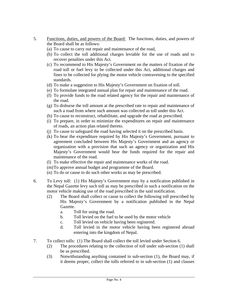- 5. Functions, duties, and powers of the Board: The functions, duties, and powers of the Board shall be as follows:
	- (a) To cause to carry out repair and maintenance of the road,
	- (b) To collect the toll additional charges leviable for the use of roads and to recover penalties under this Act.
	- (c) To recommend to His Majesty's Government on the matters of fixation of the road toll or fuel levy to be collected under this Act, additional charges and fines to be collected for plying the motor vehicle contravening to the specified standards.
	- (d) To make a suggestion to His Majesty's Government on fixation of toll.
	- (e) To formulate integrated annual plan for repair and maintenance of the road.
	- (f) To provide funds to the road related agency for the repair and maintenance of the road.
	- (g) To disburse the toll amount at the prescribed rate to repair and maintenance of such a road from where such amount was collected as toll under this Act.
	- (h) To cause to reconstruct, rehabilitate, and upgrade the road as prescribed.
	- (i) To prepare, in order to minimize the expenditures on repair and maintenance of roads, an action plan related thereto.
	- (j) To cause to safeguard the road having selected it on the prescribed basis.
	- (k) To bear the expenditure required by His Majesty's Government, pursuant to agreement concluded between His Majesty's Government and an agency or organization with a provision that such an agency or organization and His Majesty's Government would bear the funds required for the repair and maintenance of the road.
	- (l) To make effective the repair and maintenance works of the road.
	- (m)To approve annual budget and programme of the Board.
	- (n) To do or cause to do such other works as may be prescribed.
- 6. To Levy toll: (1) His Majesty's Government may by a notification published in the Nepal Gazette levy such toll as may be prescribed in such a notification on the motor vehicle making use of the road prescribed in the said notification.
	- (2) The Board shall collect or cause to collect the following toll prescribed by His Majesty's Government by a notification published in the Nepal Gazette.
		- a. Toll for using the road.
		- b. Toll levied on the fuel to be used by the motor vehicle
		- c. Toll levied on vehicle having been registered.
		- d. Toll levied in the motor vehicle having been registered abroad entering into the kingdom of Nepal.
- 7. To collect tolls: (1) The Board shall collect the toll levied under Section 6.
	- (2) The procedures relating to the collection of toll under sub-section (1) shall be as prescribed.
	- (3) Notwithstanding anything contained in sub-section (1), the Board may, if it deems proper, collect the tolls referred to in sub-section (1) and clauses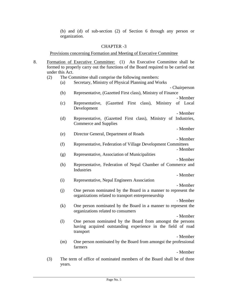(b) and (d) of sub-section (2) of Section 6 through any person or organization.

#### CHAPTER -3

Provisions concerning Formation and Meeting of Executive Committee

- 8. Formation of Executive Committee: (1) An Executive Committee shall be formed to properly carry out the functions of the Board required to be carried out under this Act.
	- (2) The Committee shall comprise the following members:
- (a) Secretary, Ministry of Physical Planning and Works - Chairperson (b) Representative, (Gazetted First class), Ministry of Finance - Member (c) Representative, (Gazetted First class), Ministry of Local Development - Member (d) Representative, (Gazetted First class), Ministry of Industries, Commerce and Supplies - Member (e) Director General, Department of Roads - Member (f) Representative, Federation of Village Development Committees - Member (g) Representative, Association of Municipalities - Member (h) Representative, Federation of Nepal Chamber of Commerce and **Industries** - Member (i) Representative, Nepal Engineers Association - Member (j) One person nominated by the Board in a manner to represent the organizations related to transport entrepreneurship - Member (k) One person nominated by the Board in a manner to represent the organizations related to consumers - Member (l) One person nominated by the Board from amongst the persons having acquired outstanding experience in the field of road transport - Member (m) One person nominated by the Board from amongst the professional farmers

- Member

(3) The term of office of nominated members of the Board shall be of three years.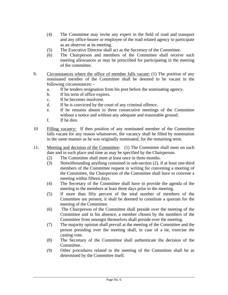- (4) The Committee may invite any expert in the field of road and transport and any office-bearer or employee of the road related agency to participate as an observer at its meeting.
- (5) The Executive Director shall act as the Secretary of the Committee.
- (6) The Chairperson and members of the Committee shall receive such meeting allowances as may be prescribed for participating in the meeting of the committee.
- 9. Circumstances where the office of member falls vacant: (1) The position of any nominated member of the Committee shall be deemed to be vacant in the following circumstances:
	- a. If he tenders resignation from his post before the nominating agency.
	- b. If his term of office expires.
	- c. If he becomes insolvent.
	- d. If he is convicted by the court of any criminal offence.
	- e. If he remains absent in three consecutive meetings of the Committee without a notice and without any adequate and reasonable ground.
	- f. If he dies.
- 10 Filling vacancy: If then position of any nominated member of the Committee falls vacant for any reason whatsoever, the vacancy shall be filled by nomination in the same manner as he was originally nominated, for the remaining term.
- 11. Meeting and decision of the Committee: (1) The Committee shall meet on such date and in such place and time as may be specified by the Chairperson.
	- (2) The Committee shall meet at least once in three months.
	- (3) Notwithstanding anything contained in sub-section (2), if at least one-third members of the Committee request in writing for convening a meeting of the Committee, the Chairperson of the Committee shall have to convene a meeting within fifteen days.
	- (4) The Secretary of the Committee shall have to provide the agenda of the meeting to the members at least three days prior to the meeting.
	- (5) If more than fifty percent of the total number of members of the Committee are present, it shall be deemed to constitute a quorum for the meeting of the Committee.
	- (6) The Chairperson of the Committee shall preside over the meeting of the Committee and in his absence, a member chosen by the members of the Committee from amongst themselves shall preside over the meeting.
	- (7) The majority opinion shall prevail at the meeting of the Committee and the person presiding over the meeting shall, in case of a tie, exercise the casting vote.
	- (8) The Secretary of the Committee shall authenticate the decision of the Committee.
	- (9) Other procedures related to the meeting of the Committee shall be as determined by the Committee itself.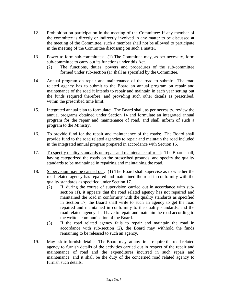- 12. Prohibition on participation in the meeting of the Committee: If any member of the committee is directly or indirectly involved in any matter to be discussed at the meeting of the Committee, such a member shall not be allowed to participate in the meeting of the Committee discussing on such a matter.
- 13. Power to form sub-committees: (1) The Committee may, as per necessity, form sub-committee to carry out its functions under this Act.
	- (2) The functions, duties, powers and procedures of the sub-committee formed under sub-section (1) shall as specified by the Committee.
- 14. Annual program on repair and maintenance of the road to submit: The road related agency has to submit to the Board an annual program on repair and maintenance of the road it intends to repair and maintain in each year setting out the funds required therefore, and providing such other details as prescribed, within the prescribed time limit.
- 15. Integrated annual plan to formulate: The Board shall, as per necessity, review the annual programs obtained under Section 14 and formulate an integrated annual program for the repair and maintenance of road, and shall inform of such a program to the Ministry.
- 16. To provide fund for the repair and maintenance of the roads: The Board shall provide fund to the road related agencies to repair and maintain the road included in the integrated annual program prepared in accordance with Section 15.
- 17. To specify quality standards on repair and maintenance of road: The Board shall, having categorized the roads on the prescribed grounds, and specify the quality standards to be maintained in repairing and maintaining the road.
- 18. Supervision may be carried out: (1) The Board shall supervise as to whether the road related agency has repaired and maintained the road in conformity with the quality standards as specified under Section 17.
	- (2) If, during the course of supervision carried out in accordance with subsection (1), it appears that the road related agency has not repaired and maintained the road in conformity with the quality standards as specified in Section 17, the Board shall write to such an agency to get the road repaired and maintained in conformity to the quality standards, and the road related agency shall have to repair and maintain the road according to the written communication of the Board.
	- (3) If the road related agency fails to repair and maintain the road in accordance with sub-section (2), the Board may withhold the funds remaining to be released to such an agency.
- 19. May ask to furnish details: The Board may, at any time, require the road related agency to furnish details of the activities carried out in respect of the repair and maintenance of road and the expenditures incurred in such repair and maintenance, and it shall be the duty of the concerned road related agency to furnish such details.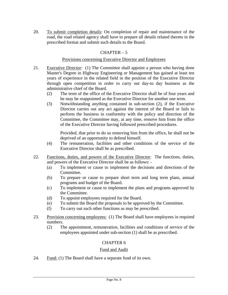20. To submit completion details: On completion of repair and maintenance of the road, the road related agency shall have to prepare all details related thereto in the prescribed format and submit such details to the Board.

# $CHAPTER - 5$

## Provisions concerning Executive Director and Employees

- 21. Executive Director: (1) The Committee shall appoint a person who having done Master's Degree in Highway Engineering or Management has gained at least ten years of experience in the related field in the position of the Executive Director through open competition in order to carry out day-to day business as the administrative chief of the Board.
	- (2) The term of the office of the Executive Director shall be of four years and he may be reappointed as the Executive Director for another one term.
	- (3) Notwithstanding anything contained in sub-section (2), if the Executive Director carries out any act against the interest of the Board or fails to perform the business in conformity with the policy and direction of the Committee, the Committee may, at any time, remove him from the office of the Executive Director having followed prescribed procedures.

Provided, that prior to do so removing him from the office, he shall not be deprived of an opportunity to defend himself.

- (4) The remuneration, facilities and other conditions of the service of the Executive Director shall be as prescribed.
- 22. Functions, duties, and powers of the Executive Director: The functions, duties, and powers of the Executive Director shall be as follows: -
	- (a) To implement or cause to implement the decisions and directions of the Committee.
	- (b) To prepare or cause to prepare short term and long term plans, annual programs and budget of the Board.
	- (c) To implement or cause to implement the plans and programs approved by the Committee.
	- (d) To appoint employees required for the Board.
	- (e) To submit the Board the proposals to be approved by the Committee.
	- (f) To carry out such other functions as may be prescribed.
- 23. Provision concerning employees: (1) The Board shall have employees in required numbers.
	- (2) The appointment, remuneration, facilities and conditions of service of the employees appointed under sub-section (1) shall be as prescribed.

## CHAPTER 6

## Fund and Audit

24. Fund: (1) The Board shall have a separate fund of its own.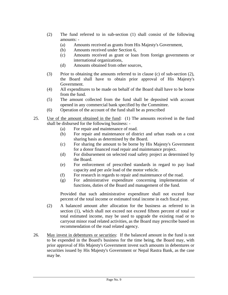- (2) The fund referred to in sub-section (1) shall consist of the following amounts: -
	- (a) Amounts received as grants from His Majesty's Government,
	- (b) Amounts received under Section 6,
	- (c) Amounts received as grant or loan from foreign governments or international organizations,
	- (d) Amounts obtained from other sources,
- (3) Prior to obtaining the amounts referred to in clause (c) of sub-section (2), the Board shall have to obtain prior approval of His Majesty's Government.
- (4) All expenditures to be made on behalf of the Board shall have to be borne from the fund.
- (5) The amount collected from the fund shall be deposited with account opened in any commercial bank specified by the Committee.
- (6) Operation of the account of the fund shall be as prescribed
- 25. Use of the amount obtained in the fund: (1) The amounts received in the fund shall be disbursed for the following business: -
	- (a) For repair and maintenance of road.
	- (b) For repair and maintenance of district and urban roads on a cost sharing basis as determined by the Board.
	- (c) For sharing the amount to be borne by His Majesty's Government for a donor financed road repair and maintenance project.
	- (d) For disbursement on selected road safety project as determined by the Board.
	- (e) For enforcement of prescribed standards in regard to pay load capacity and per axle load of the motor vehicle.
	- (f) For research in regards to repair and maintenance of the road.
	- (g) For administrative expenditure concerning implementation of functions, duties of the Board and management of the fund.

Provided that such administrative expenditure shall not exceed four percent of the total income or estimated total income in each fiscal year.

- (2) A balanced amount after allocation for the business as referred to in section (1), which shall not exceed not exceed fifteen percent of total or total estimated income, may be used to upgrade the existing road or to carryout minor road related activities, as the Board may prescribe based on recommendation of the road related agency.
- 26. May invest in debentures or securities: If the balanced amount in the fund is not to be expended in the Board's business for the time being, the Board may, with prior approval of His Majesty's Government invest such amounts in debentures or securities issued by His Majesty's Government or Nepal Rastra Bank, as the case may be.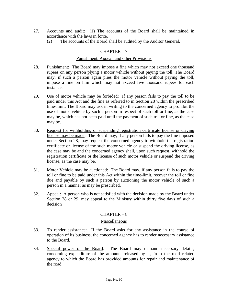- 27. Accounts and audit: (1) The accounts of the Board shall be maintained in accordance with the laws in force.
	- (2) The accounts of the Board shall be audited by the Auditor General.

## $CHAPTER - 7$

#### Punishment, Appeal, and other Provisions

- 28. Punishment: The Board may impose a fine which may not exceed one thousand rupees on any person plying a motor vehicle without paying the toll. The Board may, if such a person again plies the motor vehicle without paying the toll, impose a fine on him which may not exceed five thousand rupees for each instance.
- 29. Use of motor vehicle may be forbided: If any person fails to pay the toll to be paid under this Act and the fine as referred to in Section 28 within the prescribed time-limit, The Board may ask in writing to the concerned agency to prohibit the use of motor vehicle by such a person in respect of such toll or fine, as the case may be, which has not been paid until the payment of such toll or fine, as the case may be.
- 30. Request for withholding or suspending registration certificate license or driving license may be made: The Board may, if any person fails to pay the fine imposed under Section 28, may request the concerned agency to withhold the registration certificate or license of the such motor vehicle or suspend the driving license, as the case may be and the concerned agency shall, upon such request, withhold the registration certificate or the license of such motor vehicle or suspend the driving license, as the case may be.
- 31. Motor Vehicle may be auctioned: The Board may, if any person fails to pay the toll or fine to be paid under this Act within the time-limit, recover the toll or fine due and payable by such a person by auctioning the motor vehicle of such a person in a manner as may be prescribed.
- 32. Appeal: A person who is not satisfied with the decision made by the Board under Section 28 or 29, may appeal to the Ministry within thirty five days of such a decision

## $CHAPTER - 8$

#### Miscellaneous

- 33. To render assistance: If the Board asks for any assistance in the course of operation of its business, the concerned agency has to render necessary assistance to the Board.
- 34. Special power of the Board: The Board may demand necessary details, concerning expenditure of the amounts released by it, from the road related agency to which the Board has provided amounts for repair and maintenance of the road.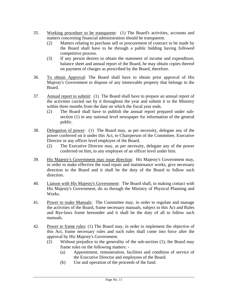- 35. Working procedure to be transparent: (1) The Board's activities, accounts and matters concerning financial administration should be transparent.
	- (2) Matters relating to purchase sell or procurement of contract to be made by the Board shall have to be through a public bidding having followed competitive process.
	- (3) If any person desires to obtain the statement of income and expenditure, balance sheet and annual report of the Board, he may obtain copies thereof on payment of charges as prescribed by the Board, therefore.
- 36. To obtain Approval: The Board shall have to obtain prior approval of His Majesty's Government to dispose of any immovable property that belongs to the Board.
- 37. Annual report to submit: (1) The Board shall have to prepare an annual report of the activities carried out by it throughout the year and submit it to the Ministry within three months from the date on which the fiscal year ends.
	- (2) The Board shall have to publish the annual report prepared under subsection (1) in any national level newspaper for information of the general public.
- 38. Delegation of power: (1) The Board may, as per necessity, delegate any of the power conferred on it under this Act, to Chairperson of the Committee, Executive Director or any officer level employee of the Board.
	- (2) The Executive Director may, as per necessity, delegate any of the power conferred on him, to any employee of an officer level under him.
- 39. His Majesty's Government may issue direction: His Majesty's Government may, in order to make effective the road repair and maintenance works, give necessary direction to the Board and it shall be the duty of the Board to follow such direction.
- 40. Liaison with His Majesty's Government: The Board shall, in making contact with His Majesty's Government, do so through the Ministry of Physical Planning and Works.
- 41. Power to make Manuals: The Committee may, in order to regulate and manage the activities of the Board, frame necessary manuals, subject to this Act and Rules and Bye-laws frame hereunder and it shall be the duty of all to follow such manuals.
- 42. Power to frame rules: (1) The Board may, in order to implement the objective of this Act, frame necessary rules and such rules shall come into force after the approval by His Majesty's Government.
	- (2) Without prejudice to the generality of the sub-section (1), the Board may frame rules on the following matters: -
		- (a) Appointment, remuneration, facilities and condition of service of the Executive Director and employees of the Board.
		- (b) Use and operation of the proceeds of the fund.